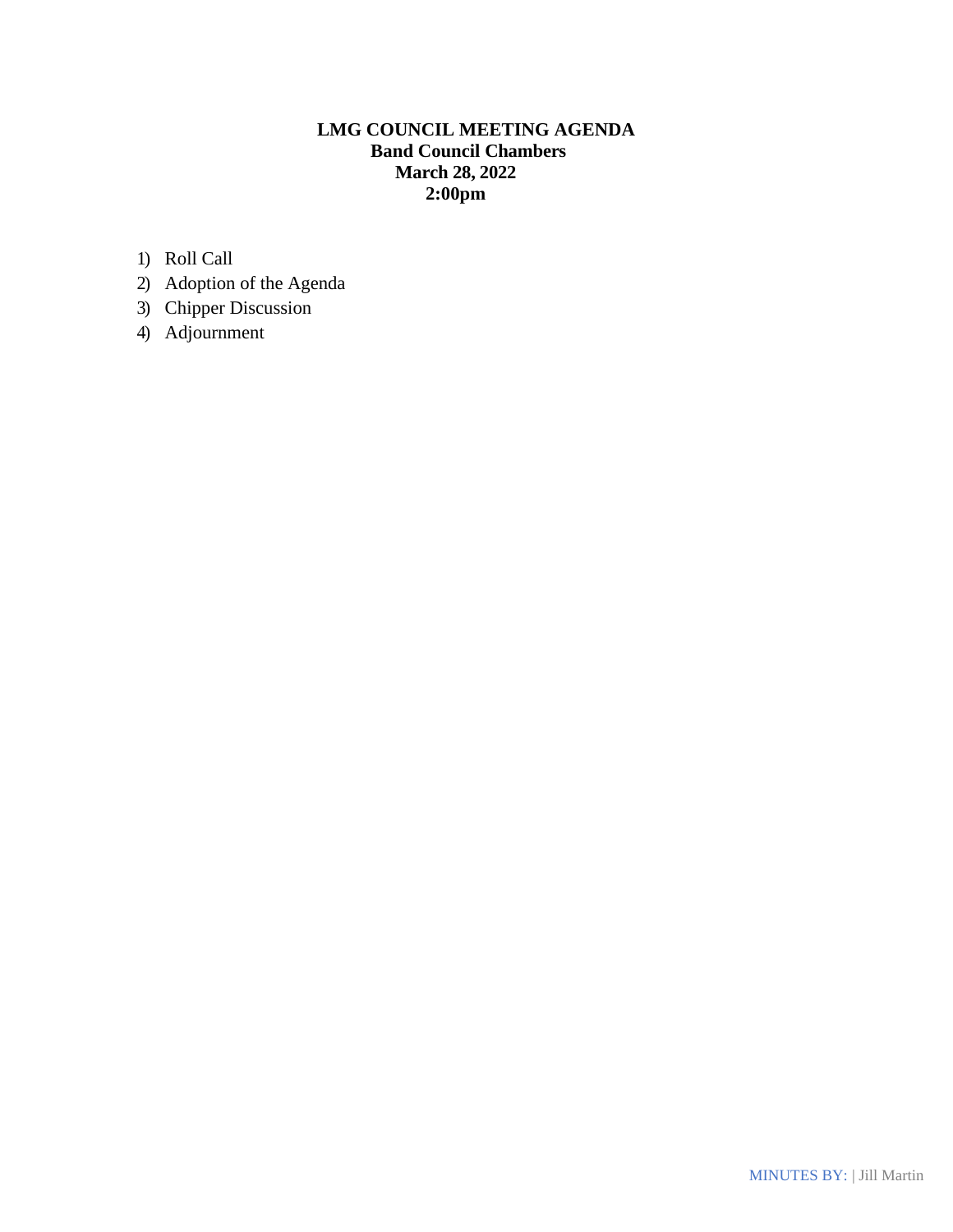# **LMG COUNCIL MEETING AGENDA Band Council Chambers March 28, 2022 2:00pm**

- 1) Roll Call
- 2) Adoption of the Agenda
- 3) Chipper Discussion
- 4) Adjournment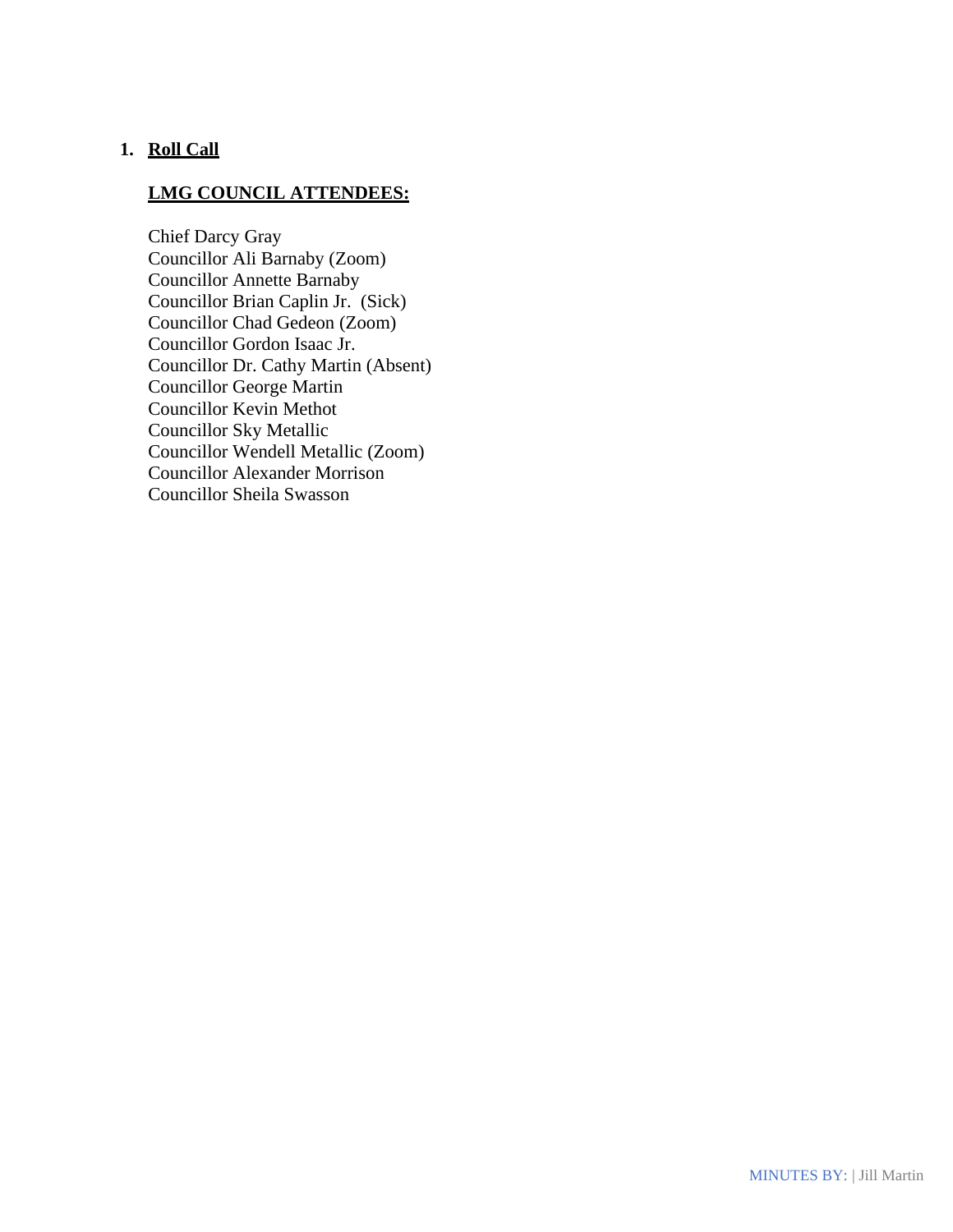## **1. Roll Call**

## **LMG COUNCIL ATTENDEES:**

Chief Darcy Gray Councillor Ali Barnaby (Zoom) Councillor Annette Barnaby Councillor Brian Caplin Jr. (Sick) Councillor Chad Gedeon (Zoom) Councillor Gordon Isaac Jr. Councillor Dr. Cathy Martin (Absent) Councillor George Martin Councillor Kevin Methot Councillor Sky Metallic Councillor Wendell Metallic (Zoom) Councillor Alexander Morrison Councillor Sheila Swasson